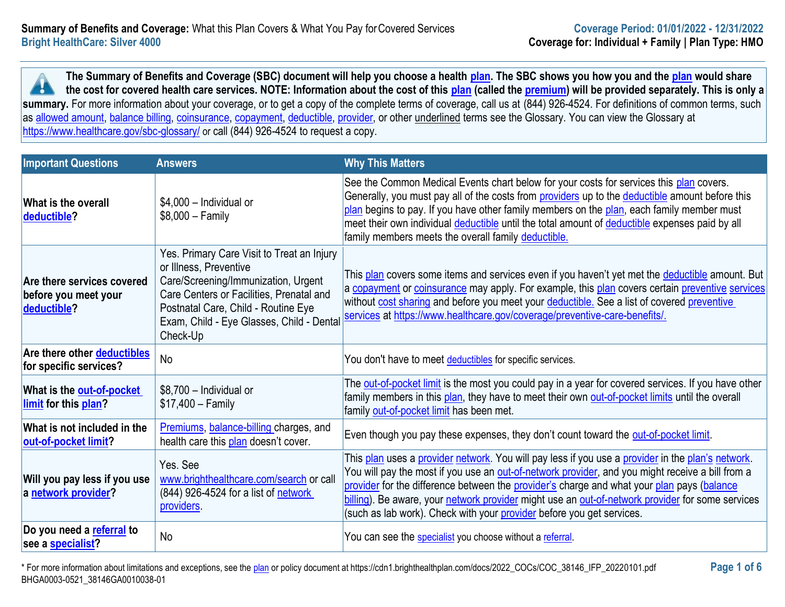**The Summary of Benefits and Coverage (SBC) document will help you choose a health [plan.](https://www.healthcare.gov/sbc-glossary/#plan) The SBC shows you how you and the [plan](https://www.healthcare.gov/sbc-glossary/#plan) would share the cost for covered health care services. NOTE: Information about the cost of this [plan](https://www.healthcare.gov/sbc-glossary/#plan) (called the [premium\)](https://www.healthcare.gov/sbc-glossary/#premium) will be provided separately. This is only a**  x summary. For more information about your coverage, or to get a copy of the complete terms of coverage, call us at (844) 926-4524. For definitions of common terms, such as [allowed amount,](https://www.healthcare.gov/sbc-glossary/#allowed-amount) [balance billing,](https://www.healthcare.gov/sbc-glossary/#balance-billing) [coinsurance,](https://www.healthcare.gov/sbc-glossary/#coinsurance) [copayment,](https://www.healthcare.gov/sbc-glossary/#copayment) [deductible,](https://www.healthcare.gov/sbc-glossary/#deductible) [provider,](https://www.healthcare.gov/sbc-glossary/#provider) or other underlined terms see the Glossary. You can view the Glossary at <https://www.healthcare.gov/sbc-glossary/> or call (844) 926-4524 to request a copy.

| <b>Important Questions</b>                                        | <b>Answers</b>                                                                                                                                                                                                                                          | <b>Why This Matters</b>                                                                                                                                                                                                                                                                                                                                                                                                                                                          |
|-------------------------------------------------------------------|---------------------------------------------------------------------------------------------------------------------------------------------------------------------------------------------------------------------------------------------------------|----------------------------------------------------------------------------------------------------------------------------------------------------------------------------------------------------------------------------------------------------------------------------------------------------------------------------------------------------------------------------------------------------------------------------------------------------------------------------------|
| <b>What is the overall</b><br>deductible?                         | \$4,000 - Individual or<br>$$8,000 - Family$                                                                                                                                                                                                            | See the Common Medical Events chart below for your costs for services this plan covers.<br>Generally, you must pay all of the costs from providers up to the deductible amount before this<br>plan begins to pay. If you have other family members on the plan, each family member must<br>meet their own individual deductible until the total amount of deductible expenses paid by all<br>family members meets the overall family deductible.                                 |
| Are there services covered<br>before you meet your<br>deductible? | Yes. Primary Care Visit to Treat an Injury<br>or Illness, Preventive<br>Care/Screening/Immunization, Urgent<br>Care Centers or Facilities, Prenatal and<br>Postnatal Care, Child - Routine Eye<br>Exam, Child - Eye Glasses, Child - Dental<br>Check-Up | This plan covers some items and services even if you haven't yet met the deductible amount. But<br>a copayment or coinsurance may apply. For example, this plan covers certain preventive services<br>without cost sharing and before you meet your deductible. See a list of covered preventive<br>services at https://www.healthcare.gov/coverage/preventive-care-benefits/.                                                                                                   |
| Are there other deductibles<br>for specific services?             | <b>No</b>                                                                                                                                                                                                                                               | You don't have to meet deductibles for specific services.                                                                                                                                                                                                                                                                                                                                                                                                                        |
| What is the out-of-pocket<br>limit for this plan?                 | \$8,700 - Individual or<br>$$17,400 - Family$                                                                                                                                                                                                           | The out-of-pocket limit is the most you could pay in a year for covered services. If you have other<br>family members in this plan, they have to meet their own out-of-pocket limits until the overall<br>family out-of-pocket limit has been met.                                                                                                                                                                                                                               |
| What is not included in the<br>out-of-pocket limit?               | Premiums, balance-billing charges, and<br>health care this plan doesn't cover.                                                                                                                                                                          | Even though you pay these expenses, they don't count toward the out-of-pocket limit.                                                                                                                                                                                                                                                                                                                                                                                             |
| Will you pay less if you use<br>a network provider?               | Yes. See<br>www.brighthealthcare.com/search or call<br>(844) 926-4524 for a list of network<br>providers.                                                                                                                                               | This plan uses a provider network. You will pay less if you use a provider in the plan's network.<br>You will pay the most if you use an out-of-network provider, and you might receive a bill from a<br>provider for the difference between the provider's charge and what your plan pays (balance<br>billing). Be aware, your network provider might use an out-of-network provider for some services<br>(such as lab work). Check with your provider before you get services. |
| Do you need a referral to<br>see a specialist?                    | <b>No</b>                                                                                                                                                                                                                                               | You can see the specialist you choose without a referral.                                                                                                                                                                                                                                                                                                                                                                                                                        |

\* For more information about limitations and exceptions, see the [plan](https://www.healthcare.gov/sbc-glossary/#plan) or policy document at https://cdn1.brighthealthplan.com/docs/2022\_COCs/COC\_38146\_IFP\_20220101.pdf **Page 1 of 6** BHGA0003-0521\_38146GA0010038-01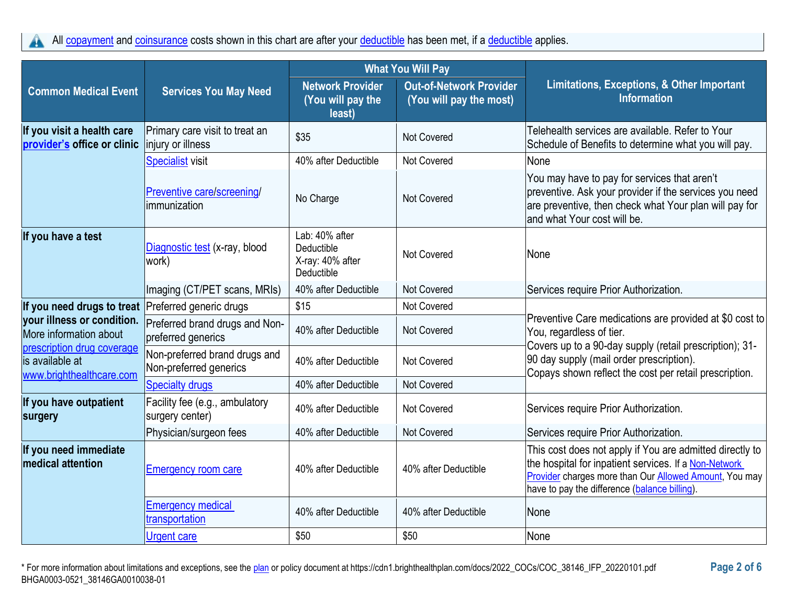All [copayment](https://www.healthcare.gov/sbc-glossary/#copayment) and [coinsurance](https://www.healthcare.gov/sbc-glossary/#coinsurance) costs shown in this chart are after your [deductible](https://www.healthcare.gov/sbc-glossary/#deductible) has been met, if a deductible applies. A

|                                                                           |                                                         | <b>What You Will Pay</b>                                       |                                                           |                                                                                                                                                                                                                                     |
|---------------------------------------------------------------------------|---------------------------------------------------------|----------------------------------------------------------------|-----------------------------------------------------------|-------------------------------------------------------------------------------------------------------------------------------------------------------------------------------------------------------------------------------------|
| <b>Common Medical Event</b>                                               | <b>Services You May Need</b>                            | <b>Network Provider</b><br>(You will pay the<br>least)         | <b>Out-of-Network Provider</b><br>(You will pay the most) | Limitations, Exceptions, & Other Important<br><b>Information</b>                                                                                                                                                                    |
| If you visit a health care<br>provider's office or clinic                 | Primary care visit to treat an<br>injury or illness     | \$35                                                           | Not Covered                                               | Telehealth services are available. Refer to Your<br>Schedule of Benefits to determine what you will pay.                                                                                                                            |
|                                                                           | <b>Specialist visit</b>                                 | 40% after Deductible                                           | Not Covered                                               | None                                                                                                                                                                                                                                |
|                                                                           | Preventive care/screening/<br>limmunization             | No Charge                                                      | <b>Not Covered</b>                                        | You may have to pay for services that aren't<br>preventive. Ask your provider if the services you need<br>are preventive, then check what Your plan will pay for<br>and what Your cost will be.                                     |
| If you have a test                                                        | Diagnostic test (x-ray, blood<br>work)                  | Lab: 40% after<br>Deductible<br>X-ray: 40% after<br>Deductible | <b>Not Covered</b>                                        | None                                                                                                                                                                                                                                |
|                                                                           | Imaging (CT/PET scans, MRIs)                            | 40% after Deductible                                           | <b>Not Covered</b>                                        | Services require Prior Authorization.                                                                                                                                                                                               |
| If you need drugs to treat Preferred generic drugs                        |                                                         | \$15                                                           | Not Covered                                               | Preventive Care medications are provided at \$0 cost to<br>You, regardless of tier.                                                                                                                                                 |
| your illness or condition.<br>More information about                      | Preferred brand drugs and Non-<br>preferred generics    | 40% after Deductible                                           | <b>Not Covered</b>                                        |                                                                                                                                                                                                                                     |
| prescription drug coverage<br>is available at<br>www.brighthealthcare.com | Non-preferred brand drugs and<br>Non-preferred generics | 40% after Deductible                                           | Not Covered                                               | Covers up to a 90-day supply (retail prescription); 31-<br>90 day supply (mail order prescription).<br>Copays shown reflect the cost per retail prescription.                                                                       |
|                                                                           | <b>Specialty drugs</b>                                  | 40% after Deductible                                           | Not Covered                                               |                                                                                                                                                                                                                                     |
| If you have outpatient<br>surgery                                         | Facility fee (e.g., ambulatory<br>surgery center)       | 40% after Deductible                                           | Not Covered                                               | Services require Prior Authorization.                                                                                                                                                                                               |
|                                                                           | Physician/surgeon fees                                  | 40% after Deductible                                           | <b>Not Covered</b>                                        | Services require Prior Authorization.                                                                                                                                                                                               |
| If you need immediate<br><b>medical attention</b>                         | <b>Emergency room care</b>                              | 40% after Deductible                                           | 40% after Deductible                                      | This cost does not apply if You are admitted directly to<br>the hospital for inpatient services. If a Non-Network<br><b>Provider charges more than Our Allowed Amount, You may</b><br>have to pay the difference (balance billing). |
|                                                                           | <b>Emergency medical</b><br>transportation              | 40% after Deductible                                           | 40% after Deductible                                      | None                                                                                                                                                                                                                                |
|                                                                           | <b>Urgent care</b>                                      | \$50                                                           | \$50                                                      | None                                                                                                                                                                                                                                |

\* For more information about limitations and exceptions, see the [plan](https://www.healthcare.gov/sbc-glossary/#plan) or policy document at https://cdn1.brighthealthplan.com/docs/2022\_COCs/COC\_38146\_IFP\_20220101.pdf **Page 2 of 6** BHGA0003-0521\_38146GA0010038-01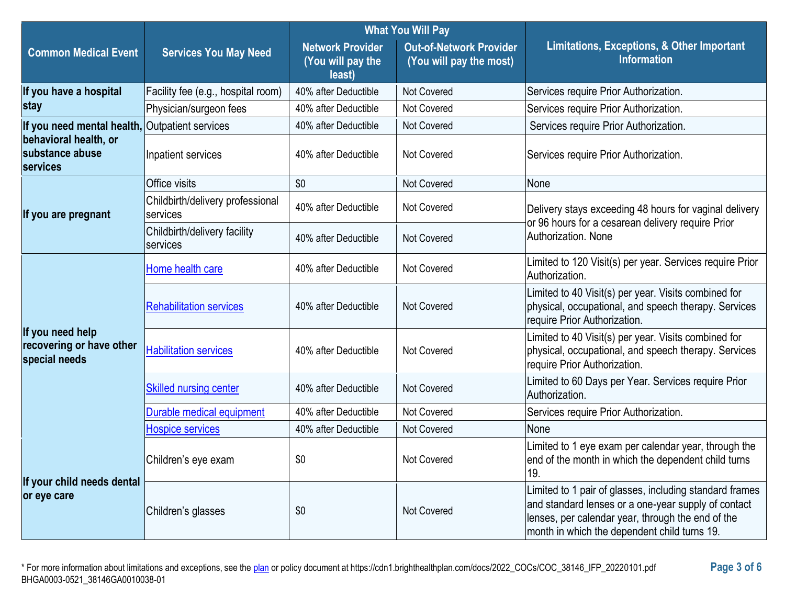|                                                               |                                              | <b>What You Will Pay</b>                               |                                                           |                                                                                                                                                                                                                     |
|---------------------------------------------------------------|----------------------------------------------|--------------------------------------------------------|-----------------------------------------------------------|---------------------------------------------------------------------------------------------------------------------------------------------------------------------------------------------------------------------|
| <b>Common Medical Event</b>                                   | <b>Services You May Need</b>                 | <b>Network Provider</b><br>(You will pay the<br>least) | <b>Out-of-Network Provider</b><br>(You will pay the most) | Limitations, Exceptions, & Other Important<br><b>Information</b>                                                                                                                                                    |
| If you have a hospital                                        | Facility fee (e.g., hospital room)           | 40% after Deductible                                   | <b>Not Covered</b>                                        | Services require Prior Authorization.                                                                                                                                                                               |
| stay                                                          | Physician/surgeon fees                       | 40% after Deductible                                   | Not Covered                                               | Services require Prior Authorization.                                                                                                                                                                               |
| If you need mental health,                                    | <b>Outpatient services</b>                   | 40% after Deductible                                   | Not Covered                                               | Services require Prior Authorization.                                                                                                                                                                               |
| behavioral health, or<br>substance abuse<br>services          | Inpatient services                           | 40% after Deductible                                   | Not Covered                                               | Services require Prior Authorization.                                                                                                                                                                               |
|                                                               | Office visits                                | \$0                                                    | <b>Not Covered</b>                                        | None                                                                                                                                                                                                                |
| If you are pregnant                                           | Childbirth/delivery professional<br>services | 40% after Deductible                                   | Not Covered                                               | Delivery stays exceeding 48 hours for vaginal delivery<br>or 96 hours for a cesarean delivery require Prior                                                                                                         |
|                                                               | Childbirth/delivery facility<br>services     | 40% after Deductible                                   | Not Covered                                               | Authorization, None                                                                                                                                                                                                 |
|                                                               | Home health care                             | 40% after Deductible                                   | Not Covered                                               | Limited to 120 Visit(s) per year. Services require Prior<br>Authorization.                                                                                                                                          |
| If you need help<br>recovering or have other<br>special needs | <b>Rehabilitation services</b>               | 40% after Deductible                                   | <b>Not Covered</b>                                        | Limited to 40 Visit(s) per year. Visits combined for<br>physical, occupational, and speech therapy. Services<br>require Prior Authorization.                                                                        |
|                                                               | <b>Habilitation services</b>                 | 40% after Deductible                                   | Not Covered                                               | Limited to 40 Visit(s) per year. Visits combined for<br>physical, occupational, and speech therapy. Services<br>require Prior Authorization.                                                                        |
|                                                               | <b>Skilled nursing center</b>                | 40% after Deductible                                   | Not Covered                                               | Limited to 60 Days per Year. Services require Prior<br>Authorization.                                                                                                                                               |
|                                                               | Durable medical equipment                    | 40% after Deductible                                   | Not Covered                                               | Services require Prior Authorization.                                                                                                                                                                               |
|                                                               | <b>Hospice services</b>                      | 40% after Deductible                                   | Not Covered                                               | None                                                                                                                                                                                                                |
| If your child needs dental<br>or eye care                     | Children's eye exam                          | \$0                                                    | Not Covered                                               | Limited to 1 eye exam per calendar year, through the<br>end of the month in which the dependent child turns<br>19.                                                                                                  |
|                                                               | Children's glasses                           | \$0                                                    | Not Covered                                               | Limited to 1 pair of glasses, including standard frames<br>and standard lenses or a one-year supply of contact<br>lenses, per calendar year, through the end of the<br>month in which the dependent child turns 19. |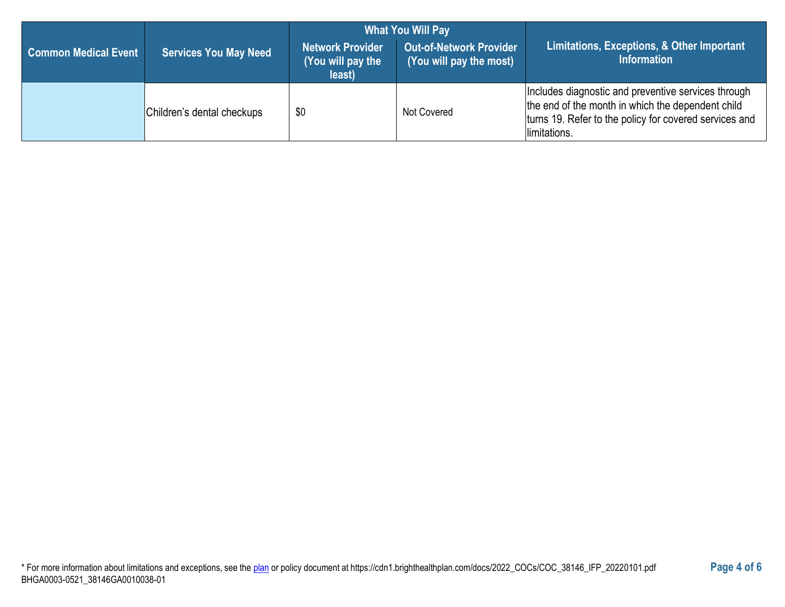|                             |                              | <b>What You Will Pay</b>                               |                                                           |                                                                                                                                                                                    |  |
|-----------------------------|------------------------------|--------------------------------------------------------|-----------------------------------------------------------|------------------------------------------------------------------------------------------------------------------------------------------------------------------------------------|--|
| <b>Common Medical Event</b> | <b>Services You May Need</b> | <b>Network Provider</b><br>(You will pay the<br>least) | <b>Out-of-Network Provider</b><br>(You will pay the most) | Limitations, Exceptions, & Other Important<br><b>Information</b>                                                                                                                   |  |
|                             | Children's dental checkups   | \$0                                                    | Not Covered                                               | Includes diagnostic and preventive services through<br>the end of the month in which the dependent child<br>turns 19. Refer to the policy for covered services and<br>limitations. |  |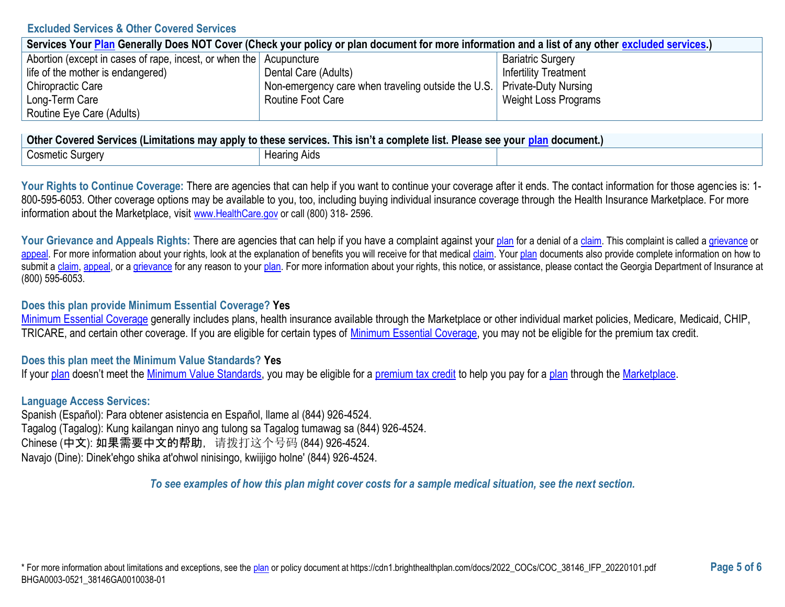### **Excluded Services & Other Covered Services**

| Services Your Plan Generally Does NOT Cover (Check your policy or plan document for more information and a list of any other excluded services.) |                                                                           |                              |  |
|--------------------------------------------------------------------------------------------------------------------------------------------------|---------------------------------------------------------------------------|------------------------------|--|
| Abortion (except in cases of rape, incest, or when the Acupuncture                                                                               |                                                                           | <b>Bariatric Surgery</b>     |  |
| life of the mother is endangered)                                                                                                                | Dental Care (Adults)                                                      | <b>Infertility Treatment</b> |  |
| Chiropractic Care                                                                                                                                | Non-emergency care when traveling outside the U.S.   Private-Duty Nursing |                              |  |
| Long-Term Care                                                                                                                                   | Routine Foot Care                                                         | Weight Loss Programs         |  |
| Routine Eye Care (Adults)                                                                                                                        |                                                                           |                              |  |

| <b>Other</b><br><b>r Covered Services (Limitations may apply to these services. This isn't a complete list. Please see your p</b><br>ocument |              |  |  |
|----------------------------------------------------------------------------------------------------------------------------------------------|--------------|--|--|
| Cosmetic Surgery                                                                                                                             | Hearing Aids |  |  |

Your Rights to Continue Coverage: There are agencies that can help if you want to continue your coverage after it ends. The contact information for those agencies is: 1-800-595-6053. Other coverage options may be available to you, too, including buying individual insurance coverage through the Health Insurance Marketplace. For more information about the Marketplace, visit [www.HealthCare.gov](https://www.healthcare.gov/) or call (800) 318-2596.

Your Grievance and Appeals Rights: There are agencies that can help if you have a complaint against your [plan](https://www.healthcare.gov/sbc-glossary/#plan) for a denial of [a claim.](https://www.healthcare.gov/sbc-glossary/#claim) This complaint is called a [grievance](https://www.healthcare.gov/sbc-glossary/#grievance) or [appeal.](https://www.healthcare.gov/sbc-glossary/#appeal) For more information about your rights, look at the explanation of benefits you will receive for that medical [claim.](https://www.healthcare.gov/sbc-glossary/#claim) You[r plan](https://www.healthcare.gov/sbc-glossary/#plan) documents also provide complete information on how to submit a [claim,](https://www.healthcare.gov/sbc-glossary/#claim) [appeal,](https://www.healthcare.gov/sbc-glossary/#appeal) or [a grievance](https://www.healthcare.gov/sbc-glossary/#grievance) for any reason to your [plan.](https://www.healthcare.gov/sbc-glossary/#plan) For more information about your rights, this notice, or assistance, please contact the Georgia Department of Insurance at (800) 595-6053.

### **Does this plan provide Minimum Essential Coverage? Yes**

[Minimum Essential Coverage](https://www.healthcare.gov/sbc-glossary/#minimum-essential-coverage) generally includes plans, health insurance available through the Marketplace or other individual market policies, Medicare, Medicaid, CHIP, TRICARE, and certain other coverage. If you are eligible for certain types of [Minimum Essential Coverage,](https://www.healthcare.gov/sbc-glossary/#minimum-essential-coverage) you may not be eligible for the premium tax credit.

## **Does this plan meet the Minimum Value Standards? Yes**

If you[r plan](https://www.healthcare.gov/sbc-glossary/#plan) doesn't meet the [Minimum Value Standards,](https://www.healthcare.gov/sbc-glossary/#minimum-value-standard) you may be eligible for a [premium tax credit](https://www.healthcare.gov/sbc-glossary/#premium-tax-credits) to help you pay for a [plan](https://www.healthcare.gov/sbc-glossary/#plan) through the [Marketplace.](https://www.healthcare.gov/sbc-glossary/#marketplace)

## **Language Access Services:**

Spanish (Español): Para obtener asistencia en Español, llame al (844) 926-4524. Tagalog (Tagalog): Kung kailangan ninyo ang tulong sa Tagalog tumawag sa (844) 926-4524. Chinese (中文): 如果需要中文的帮助,请拨打这个号码 (844) 926-4524. Navajo (Dine): Dinek'ehgo shika at'ohwol ninisingo, kwiijigo holne' (844) 926-4524.

*To see examples of how this plan might cover costs for a sample medical situation, see the next section.*